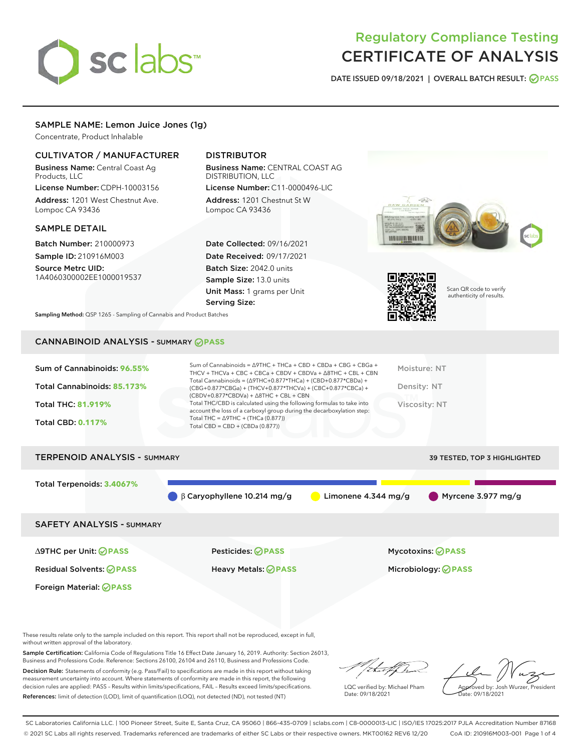# sclabs<sup>\*</sup>

### Regulatory Compliance Testing CERTIFICATE OF ANALYSIS

DATE ISSUED 09/18/2021 | OVERALL BATCH RESULT: @ PASS

#### SAMPLE NAME: Lemon Juice Jones (1g)

Concentrate, Product Inhalable

#### CULTIVATOR / MANUFACTURER

Business Name: Central Coast Ag Products, LLC

License Number: CDPH-10003156 Address: 1201 West Chestnut Ave. Lompoc CA 93436

#### SAMPLE DETAIL

Batch Number: 210000973 Sample ID: 210916M003 Source Metrc UID:

1A4060300002EE1000019537

#### DISTRIBUTOR

Business Name: CENTRAL COAST AG DISTRIBUTION, LLC License Number: C11-0000496-LIC

Address: 1201 Chestnut St W Lompoc CA 93436

Date Collected: 09/16/2021 Date Received: 09/17/2021 Batch Size: 2042.0 units Sample Size: 13.0 units Unit Mass: 1 grams per Unit Serving Size:





Scan QR code to verify authenticity of results.

Sampling Method: QSP 1265 - Sampling of Cannabis and Product Batches

#### CANNABINOID ANALYSIS - SUMMARY **PASS**

| Total Cannabinoids = $(\Delta$ 9THC+0.877*THCa) + (CBD+0.877*CBDa) +<br>Total Cannabinoids: 85.173%<br>Density: NT<br>(CBG+0.877*CBGa) + (THCV+0.877*THCVa) + (CBC+0.877*CBCa) +<br>$(CBDV+0.877*CBDVa) + \Delta 8THC + CBL + CBN$<br>Total THC/CBD is calculated using the following formulas to take into<br><b>Total THC: 81.919%</b><br>Viscosity: NT<br>account the loss of a carboxyl group during the decarboxylation step:<br>Total THC = $\triangle$ 9THC + (THCa (0.877))<br><b>Total CBD: 0.117%</b><br>Total CBD = $CBD + (CBDa (0.877))$ | Sum of Cannabinoids: 96.55% | Sum of Cannabinoids = $\triangle$ 9THC + THCa + CBD + CBDa + CBG + CBGa +<br>THCV + THCVa + CBC + CBCa + CBDV + CBDVa + $\Delta$ 8THC + CBL + CBN | Moisture: NT |
|-------------------------------------------------------------------------------------------------------------------------------------------------------------------------------------------------------------------------------------------------------------------------------------------------------------------------------------------------------------------------------------------------------------------------------------------------------------------------------------------------------------------------------------------------------|-----------------------------|---------------------------------------------------------------------------------------------------------------------------------------------------|--------------|
|                                                                                                                                                                                                                                                                                                                                                                                                                                                                                                                                                       |                             |                                                                                                                                                   |              |
|                                                                                                                                                                                                                                                                                                                                                                                                                                                                                                                                                       |                             |                                                                                                                                                   |              |
|                                                                                                                                                                                                                                                                                                                                                                                                                                                                                                                                                       |                             |                                                                                                                                                   |              |

## TERPENOID ANALYSIS - SUMMARY 39 TESTED, TOP 3 HIGHLIGHTED Total Terpenoids: **3.4067%** β Caryophyllene 10.214 mg/g Limonene 4.344 mg/g Myrcene 3.977 mg/g SAFETY ANALYSIS - SUMMARY

Foreign Material: **PASS**

∆9THC per Unit: **PASS** Pesticides: **PASS** Mycotoxins: **PASS**

Residual Solvents: **PASS** Heavy Metals: **PASS** Microbiology: **PASS**

These results relate only to the sample included on this report. This report shall not be reproduced, except in full, without written approval of the laboratory.

Sample Certification: California Code of Regulations Title 16 Effect Date January 16, 2019. Authority: Section 26013, Business and Professions Code. Reference: Sections 26100, 26104 and 26110, Business and Professions Code.

Decision Rule: Statements of conformity (e.g. Pass/Fail) to specifications are made in this report without taking measurement uncertainty into account. Where statements of conformity are made in this report, the following decision rules are applied: PASS – Results within limits/specifications, FAIL – Results exceed limits/specifications. References: limit of detection (LOD), limit of quantification (LOQ), not detected (ND), not tested (NT)

that f

LQC verified by: Michael Pham Date: 09/18/2021

Approved by: Josh Wurzer, President ate: 09/18/2021

SC Laboratories California LLC. | 100 Pioneer Street, Suite E, Santa Cruz, CA 95060 | 866-435-0709 | sclabs.com | C8-0000013-LIC | ISO/IES 17025:2017 PJLA Accreditation Number 87168 © 2021 SC Labs all rights reserved. Trademarks referenced are trademarks of either SC Labs or their respective owners. MKT00162 REV6 12/20 CoA ID: 210916M003-001 Page 1 of 4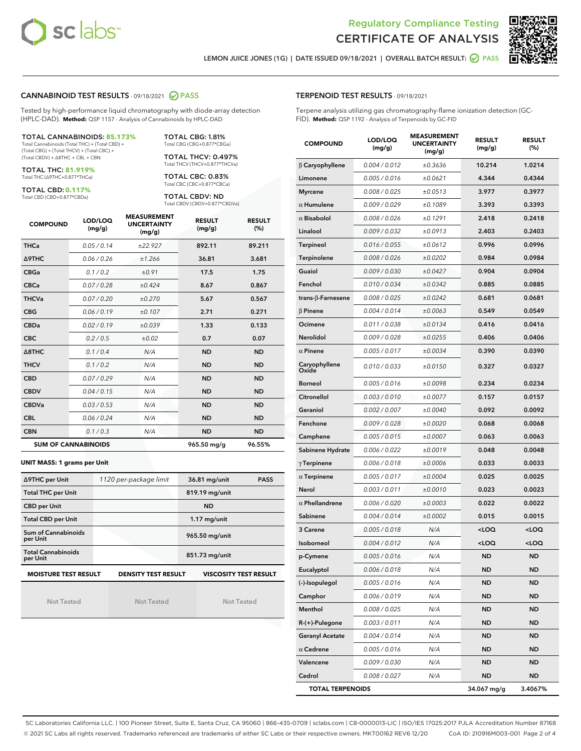



LEMON JUICE JONES (1G) | DATE ISSUED 09/18/2021 | OVERALL BATCH RESULT: @ PASS

#### CANNABINOID TEST RESULTS - 09/18/2021 2 PASS

Tested by high-performance liquid chromatography with diode-array detection (HPLC-DAD). **Method:** QSP 1157 - Analysis of Cannabinoids by HPLC-DAD

#### TOTAL CANNABINOIDS: **85.173%**

Total Cannabinoids (Total THC) + (Total CBD) + (Total CBG) + (Total THCV) + (Total CBC) + (Total CBDV) + ∆8THC + CBL + CBN

TOTAL THC: **81.919%** Total THC (∆9THC+0.877\*THCa)

TOTAL CBD: **0.117%**

Total CBD (CBD+0.877\*CBDa)

TOTAL CBG: 1.81% Total CBG (CBG+0.877\*CBGa)

TOTAL THCV: 0.497% Total THCV (THCV+0.877\*THCVa)

TOTAL CBC: 0.83% Total CBC (CBC+0.877\*CBCa)

TOTAL CBDV: ND Total CBDV (CBDV+0.877\*CBDVa)

| <b>COMPOUND</b>  | LOD/LOQ<br>(mg/g)          | <b>MEASUREMENT</b><br><b>UNCERTAINTY</b><br>(mg/g) | <b>RESULT</b><br>(mg/g) | <b>RESULT</b><br>(%) |
|------------------|----------------------------|----------------------------------------------------|-------------------------|----------------------|
| <b>THCa</b>      | 0.05/0.14                  | ±22.927                                            | 892.11                  | 89.211               |
| Δ9THC            | 0.06/0.26                  | ±1.266                                             | 36.81                   | 3.681                |
| <b>CBGa</b>      | 0.1 / 0.2                  | ±0.91                                              | 17.5                    | 1.75                 |
| <b>CBCa</b>      | 0.07/0.28                  | ±0.424                                             | 8.67                    | 0.867                |
| <b>THCVa</b>     | 0.07/0.20                  | ±0.270                                             | 5.67                    | 0.567                |
| <b>CBG</b>       | 0.06/0.19                  | ±0.107                                             | 2.71                    | 0.271                |
| <b>CBDa</b>      | 0.02/0.19                  | ±0.039                                             | 1.33                    | 0.133                |
| <b>CBC</b>       | 0.2/0.5                    | ±0.02                                              | 0.7                     | 0.07                 |
| $\triangle$ 8THC | 0.1 / 0.4                  | N/A                                                | <b>ND</b>               | <b>ND</b>            |
| <b>THCV</b>      | 0.1/0.2                    | N/A                                                | <b>ND</b>               | <b>ND</b>            |
| <b>CBD</b>       | 0.07/0.29                  | N/A                                                | <b>ND</b>               | <b>ND</b>            |
| <b>CBDV</b>      | 0.04/0.15                  | N/A                                                | <b>ND</b>               | <b>ND</b>            |
| <b>CBDVa</b>     | 0.03/0.53                  | N/A                                                | <b>ND</b>               | <b>ND</b>            |
| <b>CBL</b>       | 0.06 / 0.24                | N/A                                                | <b>ND</b>               | <b>ND</b>            |
| <b>CBN</b>       | 0.1/0.3                    | N/A                                                | <b>ND</b>               | <b>ND</b>            |
|                  | <b>SUM OF CANNABINOIDS</b> |                                                    | 965.50 mg/g             | 96.55%               |

#### **UNIT MASS: 1 grams per Unit**

| ∆9THC per Unit                        | 1120 per-package limit     | 36.81 mg/unit<br><b>PASS</b> |
|---------------------------------------|----------------------------|------------------------------|
| <b>Total THC per Unit</b>             |                            | 819.19 mg/unit               |
| <b>CBD per Unit</b>                   |                            | <b>ND</b>                    |
| <b>Total CBD per Unit</b>             |                            | $1.17$ mg/unit               |
| Sum of Cannabinoids<br>per Unit       |                            | 965.50 mg/unit               |
| <b>Total Cannabinoids</b><br>per Unit |                            | 851.73 mg/unit               |
| <b>MOISTURE TEST RESULT</b>           | <b>DENSITY TEST RESULT</b> | <b>VISCOSITY TEST RESULT</b> |

Not Tested

Not Tested

Not Tested

#### TERPENOID TEST RESULTS - 09/18/2021

Terpene analysis utilizing gas chromatography-flame ionization detection (GC-FID). **Method:** QSP 1192 - Analysis of Terpenoids by GC-FID

| <b>COMPOUND</b>          | LOD/LOQ<br>(mg/g) | <b>MEASUREMENT</b><br><b>UNCERTAINTY</b><br>(mg/g) | <b>RESULT</b><br>(mg/g)                         | <b>RESULT</b><br>(%) |
|--------------------------|-------------------|----------------------------------------------------|-------------------------------------------------|----------------------|
| $\beta$ Caryophyllene    | 0.004 / 0.012     | ±0.3636                                            | 10.214                                          | 1.0214               |
| Limonene                 | 0.005 / 0.016     | ±0.0621                                            | 4.344                                           | 0.4344               |
| <b>Myrcene</b>           | 0.008 / 0.025     | ±0.0513                                            | 3.977                                           | 0.3977               |
| $\alpha$ Humulene        | 0.009/0.029       | ±0.1089                                            | 3.393                                           | 0.3393               |
| $\alpha$ Bisabolol       | 0.008 / 0.026     | ±0.1291                                            | 2.418                                           | 0.2418               |
| Linalool                 | 0.009 / 0.032     | ±0.0913                                            | 2.403                                           | 0.2403               |
| <b>Terpineol</b>         | 0.016 / 0.055     | ±0.0612                                            | 0.996                                           | 0.0996               |
| Terpinolene              | 0.008 / 0.026     | ±0.0202                                            | 0.984                                           | 0.0984               |
| Guaiol                   | 0.009 / 0.030     | ±0.0427                                            | 0.904                                           | 0.0904               |
| Fenchol                  | 0.010 / 0.034     | ±0.0342                                            | 0.885                                           | 0.0885               |
| $trans-\beta$ -Farnesene | 0.008 / 0.025     | ±0.0242                                            | 0.681                                           | 0.0681               |
| $\beta$ Pinene           | 0.004 / 0.014     | ±0.0063                                            | 0.549                                           | 0.0549               |
| Ocimene                  | 0.011 / 0.038     | ±0.0134                                            | 0.416                                           | 0.0416               |
| Nerolidol                | 0.009 / 0.028     | ±0.0255                                            | 0.406                                           | 0.0406               |
| $\alpha$ Pinene          | 0.005 / 0.017     | ±0.0034                                            | 0.390                                           | 0.0390               |
| Caryophyllene<br>Oxide   | 0.010 / 0.033     | ±0.0150                                            | 0.327                                           | 0.0327               |
| Borneol                  | 0.005 / 0.016     | ±0.0098                                            | 0.234                                           | 0.0234               |
| Citronellol              | 0.003 / 0.010     | ±0.0077                                            | 0.157                                           | 0.0157               |
| Geraniol                 | 0.002 / 0.007     | ±0.0040                                            | 0.092                                           | 0.0092               |
| Fenchone                 | 0.009 / 0.028     | ±0.0020                                            | 0.068                                           | 0.0068               |
| Camphene                 | 0.005 / 0.015     | ±0.0007                                            | 0.063                                           | 0.0063               |
| Sabinene Hydrate         | 0.006 / 0.022     | ±0.0019                                            | 0.048                                           | 0.0048               |
| $\gamma$ Terpinene       | 0.006 / 0.018     | ±0.0006                                            | 0.033                                           | 0.0033               |
| $\alpha$ Terpinene       | 0.005 / 0.017     | ±0.0004                                            | 0.025                                           | 0.0025               |
| Nerol                    | 0.003 / 0.011     | ±0.0010                                            | 0.023                                           | 0.0023               |
| $\alpha$ Phellandrene    | 0.006 / 0.020     | ±0.0003                                            | 0.022                                           | 0.0022               |
| Sabinene                 | 0.004 / 0.014     | ±0.0002                                            | 0.015                                           | 0.0015               |
| 3 Carene                 | 0.005 / 0.018     | N/A                                                | <loq< th=""><th><loq< th=""></loq<></th></loq<> | <loq< th=""></loq<>  |
| Isoborneol               | 0.004 / 0.012     | N/A                                                | <loq< th=""><th><loq< th=""></loq<></th></loq<> | <loq< th=""></loq<>  |
| p-Cymene                 | 0.005 / 0.016     | N/A                                                | <b>ND</b>                                       | ND                   |
| Eucalyptol               | 0.006 / 0.018     | N/A                                                | <b>ND</b>                                       | <b>ND</b>            |
| (-)-Isopulegol           | 0.005 / 0.016     | N/A                                                | ND                                              | ND                   |
| Camphor                  | 0.006 / 0.019     | N/A                                                | <b>ND</b>                                       | <b>ND</b>            |
| Menthol                  | 0.008 / 0.025     | N/A                                                | <b>ND</b>                                       | <b>ND</b>            |
| R-(+)-Pulegone           | 0.003 / 0.011     | N/A                                                | ND                                              | ND                   |
| <b>Geranyl Acetate</b>   | 0.004 / 0.014     | N/A                                                | <b>ND</b>                                       | ND                   |
| $\alpha$ Cedrene         | 0.005 / 0.016     | N/A                                                | <b>ND</b>                                       | <b>ND</b>            |
| Valencene                | 0.009 / 0.030     | N/A                                                | ND                                              | ND                   |
| Cedrol                   | 0.008 / 0.027     | N/A                                                | <b>ND</b>                                       | <b>ND</b>            |
| <b>TOTAL TERPENOIDS</b>  |                   |                                                    | 34.067 mg/g                                     | 3.4067%              |

SC Laboratories California LLC. | 100 Pioneer Street, Suite E, Santa Cruz, CA 95060 | 866-435-0709 | sclabs.com | C8-0000013-LIC | ISO/IES 17025:2017 PJLA Accreditation Number 87168 © 2021 SC Labs all rights reserved. Trademarks referenced are trademarks of either SC Labs or their respective owners. MKT00162 REV6 12/20 CoA ID: 210916M003-001 Page 2 of 4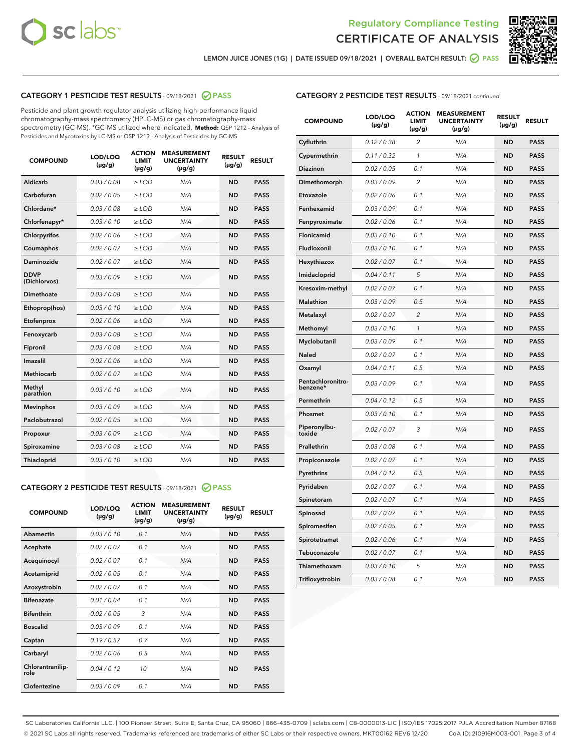



LEMON JUICE JONES (1G) | DATE ISSUED 09/18/2021 | OVERALL BATCH RESULT: ☑ PASS

#### CATEGORY 1 PESTICIDE TEST RESULTS - 09/18/2021 @ PASS

Pesticide and plant growth regulator analysis utilizing high-performance liquid chromatography-mass spectrometry (HPLC-MS) or gas chromatography-mass spectrometry (GC-MS). \*GC-MS utilized where indicated. **Method:** QSP 1212 - Analysis of Pesticides and Mycotoxins by LC-MS or QSP 1213 - Analysis of Pesticides by GC-MS

| <b>COMPOUND</b>             | LOD/LOQ<br>$(\mu g/g)$ | <b>ACTION</b><br><b>LIMIT</b><br>$(\mu g/g)$ | <b>MEASUREMENT</b><br><b>UNCERTAINTY</b><br>$(\mu g/g)$ | <b>RESULT</b><br>$(\mu g/g)$ | <b>RESULT</b> |
|-----------------------------|------------------------|----------------------------------------------|---------------------------------------------------------|------------------------------|---------------|
| Aldicarb                    | 0.03 / 0.08            | $\geq$ LOD                                   | N/A                                                     | <b>ND</b>                    | <b>PASS</b>   |
| Carbofuran                  | 0.02/0.05              | $>$ LOD                                      | N/A                                                     | <b>ND</b>                    | <b>PASS</b>   |
| Chlordane*                  | 0.03 / 0.08            | $\ge$ LOD                                    | N/A                                                     | <b>ND</b>                    | <b>PASS</b>   |
| Chlorfenapyr*               | 0.03/0.10              | $>$ LOD                                      | N/A                                                     | <b>ND</b>                    | <b>PASS</b>   |
| Chlorpyrifos                | 0.02 / 0.06            | $\ge$ LOD                                    | N/A                                                     | <b>ND</b>                    | <b>PASS</b>   |
| Coumaphos                   | 0.02 / 0.07            | $\ge$ LOD                                    | N/A                                                     | <b>ND</b>                    | <b>PASS</b>   |
| Daminozide                  | 0.02 / 0.07            | $\ge$ LOD                                    | N/A                                                     | <b>ND</b>                    | <b>PASS</b>   |
| <b>DDVP</b><br>(Dichlorvos) | 0.03/0.09              | $\ge$ LOD                                    | N/A                                                     | <b>ND</b>                    | <b>PASS</b>   |
| Dimethoate                  | 0.03/0.08              | $>$ LOD                                      | N/A                                                     | <b>ND</b>                    | <b>PASS</b>   |
| Ethoprop(hos)               | 0.03/0.10              | $\ge$ LOD                                    | N/A                                                     | <b>ND</b>                    | <b>PASS</b>   |
| Etofenprox                  | 0.02 / 0.06            | $\ge$ LOD                                    | N/A                                                     | <b>ND</b>                    | <b>PASS</b>   |
| Fenoxycarb                  | 0.03 / 0.08            | $\ge$ LOD                                    | N/A                                                     | <b>ND</b>                    | <b>PASS</b>   |
| Fipronil                    | 0.03/0.08              | $>$ LOD                                      | N/A                                                     | <b>ND</b>                    | <b>PASS</b>   |
| Imazalil                    | 0.02 / 0.06            | $\ge$ LOD                                    | N/A                                                     | <b>ND</b>                    | <b>PASS</b>   |
| <b>Methiocarb</b>           | 0.02 / 0.07            | $\ge$ LOD                                    | N/A                                                     | <b>ND</b>                    | <b>PASS</b>   |
| Methyl<br>parathion         | 0.03/0.10              | $\ge$ LOD                                    | N/A                                                     | <b>ND</b>                    | <b>PASS</b>   |
| <b>Mevinphos</b>            | 0.03/0.09              | $>$ LOD                                      | N/A                                                     | <b>ND</b>                    | <b>PASS</b>   |
| Paclobutrazol               | 0.02 / 0.05            | $\ge$ LOD                                    | N/A                                                     | <b>ND</b>                    | <b>PASS</b>   |
| Propoxur                    | 0.03/0.09              | $\ge$ LOD                                    | N/A                                                     | <b>ND</b>                    | <b>PASS</b>   |
| Spiroxamine                 | 0.03 / 0.08            | $\ge$ LOD                                    | N/A                                                     | <b>ND</b>                    | <b>PASS</b>   |
| Thiacloprid                 | 0.03/0.10              | $\ge$ LOD                                    | N/A                                                     | <b>ND</b>                    | <b>PASS</b>   |

#### CATEGORY 2 PESTICIDE TEST RESULTS - 09/18/2021 @ PASS

| <b>COMPOUND</b>          | LOD/LOO<br>$(\mu g/g)$ | <b>ACTION</b><br>LIMIT<br>$(\mu g/g)$ | <b>MEASUREMENT</b><br><b>UNCERTAINTY</b><br>$(\mu g/g)$ | <b>RESULT</b><br>$(\mu g/g)$ | <b>RESULT</b> |
|--------------------------|------------------------|---------------------------------------|---------------------------------------------------------|------------------------------|---------------|
| Abamectin                | 0.03/0.10              | 0.1                                   | N/A                                                     | <b>ND</b>                    | <b>PASS</b>   |
| Acephate                 | 0.02/0.07              | 0.1                                   | N/A                                                     | <b>ND</b>                    | <b>PASS</b>   |
| Acequinocyl              | 0.02/0.07              | 0.1                                   | N/A                                                     | <b>ND</b>                    | <b>PASS</b>   |
| Acetamiprid              | 0.02/0.05              | 0.1                                   | N/A                                                     | <b>ND</b>                    | <b>PASS</b>   |
| Azoxystrobin             | 0.02/0.07              | 0.1                                   | N/A                                                     | <b>ND</b>                    | <b>PASS</b>   |
| <b>Bifenazate</b>        | 0.01 / 0.04            | 0.1                                   | N/A                                                     | <b>ND</b>                    | <b>PASS</b>   |
| <b>Bifenthrin</b>        | 0.02/0.05              | 3                                     | N/A                                                     | <b>ND</b>                    | <b>PASS</b>   |
| <b>Boscalid</b>          | 0.03/0.09              | 0.1                                   | N/A                                                     | <b>ND</b>                    | <b>PASS</b>   |
| Captan                   | 0.19/0.57              | 0.7                                   | N/A                                                     | <b>ND</b>                    | <b>PASS</b>   |
| Carbaryl                 | 0.02/0.06              | 0.5                                   | N/A                                                     | <b>ND</b>                    | <b>PASS</b>   |
| Chlorantranilip-<br>role | 0.04/0.12              | 10                                    | N/A                                                     | <b>ND</b>                    | <b>PASS</b>   |
| Clofentezine             | 0.03/0.09              | 0.1                                   | N/A                                                     | <b>ND</b>                    | <b>PASS</b>   |

#### CATEGORY 2 PESTICIDE TEST RESULTS - 09/18/2021 continued

| <b>COMPOUND</b>               | LOD/LOQ<br>(µg/g) | <b>ACTION</b><br><b>LIMIT</b><br>$(\mu g/g)$ | <b>MEASUREMENT</b><br><b>UNCERTAINTY</b><br>$(\mu g/g)$ | <b>RESULT</b><br>(µg/g) | <b>RESULT</b> |
|-------------------------------|-------------------|----------------------------------------------|---------------------------------------------------------|-------------------------|---------------|
| Cyfluthrin                    | 0.12 / 0.38       | $\overline{c}$                               | N/A                                                     | <b>ND</b>               | <b>PASS</b>   |
| Cypermethrin                  | 0.11 / 0.32       | 1                                            | N/A                                                     | ND                      | <b>PASS</b>   |
| Diazinon                      | 0.02 / 0.05       | 0.1                                          | N/A                                                     | ND                      | <b>PASS</b>   |
| Dimethomorph                  | 0.03 / 0.09       | 2                                            | N/A                                                     | ND                      | <b>PASS</b>   |
| Etoxazole                     | 0.02 / 0.06       | 0.1                                          | N/A                                                     | <b>ND</b>               | <b>PASS</b>   |
| Fenhexamid                    | 0.03 / 0.09       | 0.1                                          | N/A                                                     | <b>ND</b>               | <b>PASS</b>   |
| Fenpyroximate                 | 0.02 / 0.06       | 0.1                                          | N/A                                                     | ND                      | <b>PASS</b>   |
| Flonicamid                    | 0.03 / 0.10       | 0.1                                          | N/A                                                     | ND                      | <b>PASS</b>   |
| Fludioxonil                   | 0.03 / 0.10       | 0.1                                          | N/A                                                     | <b>ND</b>               | <b>PASS</b>   |
| Hexythiazox                   | 0.02 / 0.07       | 0.1                                          | N/A                                                     | ND                      | <b>PASS</b>   |
| Imidacloprid                  | 0.04 / 0.11       | 5                                            | N/A                                                     | ND                      | <b>PASS</b>   |
| Kresoxim-methyl               | 0.02 / 0.07       | 0.1                                          | N/A                                                     | <b>ND</b>               | <b>PASS</b>   |
| <b>Malathion</b>              | 0.03 / 0.09       | 0.5                                          | N/A                                                     | ND                      | <b>PASS</b>   |
| Metalaxyl                     | 0.02 / 0.07       | $\overline{c}$                               | N/A                                                     | ND                      | <b>PASS</b>   |
| Methomyl                      | 0.03 / 0.10       | 1                                            | N/A                                                     | <b>ND</b>               | <b>PASS</b>   |
| Myclobutanil                  | 0.03 / 0.09       | 0.1                                          | N/A                                                     | ND                      | <b>PASS</b>   |
| Naled                         | 0.02 / 0.07       | 0.1                                          | N/A                                                     | ND                      | <b>PASS</b>   |
| Oxamyl                        | 0.04 / 0.11       | 0.5                                          | N/A                                                     | ND                      | <b>PASS</b>   |
| Pentachloronitro-<br>benzene* | 0.03 / 0.09       | 0.1                                          | N/A                                                     | ND                      | <b>PASS</b>   |
| Permethrin                    | 0.04 / 0.12       | 0.5                                          | N/A                                                     | <b>ND</b>               | <b>PASS</b>   |
| Phosmet                       | 0.03 / 0.10       | 0.1                                          | N/A                                                     | <b>ND</b>               | <b>PASS</b>   |
| Piperonylbu-<br>toxide        | 0.02 / 0.07       | 3                                            | N/A                                                     | ND                      | <b>PASS</b>   |
| Prallethrin                   | 0.03 / 0.08       | 0.1                                          | N/A                                                     | <b>ND</b>               | <b>PASS</b>   |
| Propiconazole                 | 0.02 / 0.07       | 0.1                                          | N/A                                                     | ND                      | <b>PASS</b>   |
| Pyrethrins                    | 0.04 / 0.12       | 0.5                                          | N/A                                                     | ND                      | <b>PASS</b>   |
| Pyridaben                     | 0.02 / 0.07       | 0.1                                          | N/A                                                     | ND                      | <b>PASS</b>   |
| Spinetoram                    | 0.02 / 0.07       | 0.1                                          | N/A                                                     | ND                      | <b>PASS</b>   |
| Spinosad                      | 0.02 / 0.07       | 0.1                                          | N/A                                                     | ND                      | <b>PASS</b>   |
| Spiromesifen                  | 0.02 / 0.05       | 0.1                                          | N/A                                                     | <b>ND</b>               | <b>PASS</b>   |
| Spirotetramat                 | 0.02 / 0.06       | 0.1                                          | N/A                                                     | ND                      | <b>PASS</b>   |
| Tebuconazole                  | 0.02 / 0.07       | 0.1                                          | N/A                                                     | ND                      | <b>PASS</b>   |
| Thiamethoxam                  | 0.03 / 0.10       | 5                                            | N/A                                                     | <b>ND</b>               | <b>PASS</b>   |
| Trifloxystrobin               | 0.03 / 0.08       | 0.1                                          | N/A                                                     | <b>ND</b>               | <b>PASS</b>   |

SC Laboratories California LLC. | 100 Pioneer Street, Suite E, Santa Cruz, CA 95060 | 866-435-0709 | sclabs.com | C8-0000013-LIC | ISO/IES 17025:2017 PJLA Accreditation Number 87168 © 2021 SC Labs all rights reserved. Trademarks referenced are trademarks of either SC Labs or their respective owners. MKT00162 REV6 12/20 CoA ID: 210916M003-001 Page 3 of 4